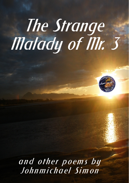# **The Strange** Malady of Mr. 3



and other poems by Johnmichael Simon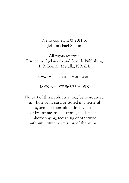# Poems copyright © 2011 by Johnmichael Simon

# All rights reserved Printed by Cyclamens and Swords Publishing P.O. Box 21, Metulla, ISRAEL

www.cyclamensandswords.com

# ISBN No. 978-965-7503-05-8

No part of this publication may be reproduced in whole or in part, or stored in a retrieval system, or transmitted in any form or by any means, electronic, mechanical, photocopying, recording or otherwise without written permission of the author.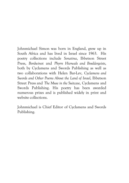Johnmichael Simon was born in England, grew up in South Africa and has lived in Israel since 1963. His poetry collections include *Sonatina*, Ibbetson Street Press, *Bordwinot* and *Phyrrs Hierwals and Bouldergeists*, both by Cyclamens and Swords Publishing as well as two collaborations with Helen Bar-Lev, *Cyclamens and Swords and Other Poems About the Land of Israel,* Ibbetson Street Press and *The Muse in the Suitcase*, Cyclamens and Swords Publishing. His poetry has been awarded numerous prizes and is published widely in print and website collections.

Johnmichael is Chief Editor of Cyclamens and Swords Publishing.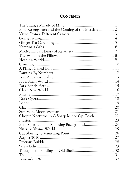# **CONTENTS**

| Mrs. Rosengarten and the Coming of the Messiah  2 |  |
|---------------------------------------------------|--|
|                                                   |  |
|                                                   |  |
|                                                   |  |
|                                                   |  |
|                                                   |  |
|                                                   |  |
|                                                   |  |
|                                                   |  |
|                                                   |  |
|                                                   |  |
|                                                   |  |
|                                                   |  |
|                                                   |  |
|                                                   |  |
|                                                   |  |
|                                                   |  |
|                                                   |  |
|                                                   |  |
|                                                   |  |
| Chopin Nocturne in C Sharp Minor Op. Posth.  22   |  |
|                                                   |  |
| Man Splashed on a Spinning Background 24          |  |
|                                                   |  |
|                                                   |  |
|                                                   |  |
|                                                   |  |
|                                                   |  |
|                                                   |  |
|                                                   |  |
|                                                   |  |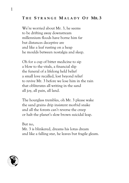## **T H E S TRANGE M ALADY O F MR.3**

We're worried about Mr. 3, he seems to be drifting away downstream millennium floods have borne him far but distances deceptive are and like a leaf rusting on a heap he moulds between nostalgia and sleep.

Oh for a cup of bitter medicine to sip a blow to the vitals, a financial slip the funeral of a lifelong held belief a small love recalled, lost beyond relief to revive Mr. 3 before we lose him in the rain that obliterates all writing in the sand all joy, all pain, all land.

The hourglass trembles, oh Mr. 3 please wake the sand grains drip insistent morbid snake and all the forests can't reverse the creep or halt the planet's slow brown suicidal leap.

But no, Mr. 3 is blinkered, dreams his lotus dream and like a falling star, he leaves but fragile gleam.

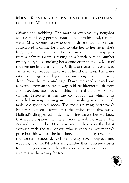## **M R S . R OSENGARTEN AND THE COMING O F THE M ESSIAH**

Off-axis and wobbling. The morning overcast, my neighbor whistles to his dog pouring some kibble into his bowl, refilling water. Mrs. Rosengarten who doesn't drive since her son was conscripted is calling for a taxi to take her to her sister, she's haggling about the price. The woman who sells newspapers from a baby pushcart is resting on a bench outside number twenty four, she's smoking her second cigarette today. Most of the men are in the army now. A flight of storks flaps overhead on its way to Europe, they haven't heard the news. The water ration's cut again and yesterday our Geiger counted rising doses from the milk and eggs. Down the road a panel van converted from an ice-cream wagon blares klezmer music from a loudspeaker, moshiach, moshiach, moshiach, ai yai yai yai yai yai. Yesterday it was the old goods van whining its recorded message; sewing machine, washing machine, bed, table, old goods old goods. The radio's playing Beethoven's Emperor concerto again, it's the third time this week. Holland's disappeared under the rising waters but we knew that would happen and there's another volcano where New Zealand used to be. Mrs. Rosengarten has won the latest skirmish with the taxi driver, who is charging last month's price but this will be the last time. It's minus fifty five across the western seaboard. Off-axis twenty seven degrees and wobbling. I think I'd better sell grandmother's antique closets to the old goods man. When the messiah arrives you won't be able to give them away for free.

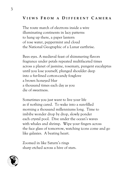## **V IEWS F ROM A D IFFERENT C AMERA**

The route march of electrons inside a wire illuminating continents in lacy patterns to hang up there, a paper lantern of rose water, peppermint and cloud the National Geographic of a Lunar earthrise.

Bees eyes. A medieval feast of shimmering flavors fragrance under petals repeated multifaceted times across a planet of jasmine, rosemary, pungent eucalyptus until you lose yourself, plunged shoulder deep into a fur-lined cotton-candy foxglove a brown honeyed blur a thousand times each day as you die of sweetness.

Sometimes you just want to live your life as if nothing cared. To wake into a sun-filled morning a thousand millenniums long. Time to imbibe wonder drop by drop, slowly ponder each crystal pool. Dive under the ocean's waves with whales and shrimp. Wipe your fingers across the face glass of tomorrow, watching icons come and go like galaxies. A beating heart.

Zoomed in like Saturn's rings sharp etched across a hive of stars.

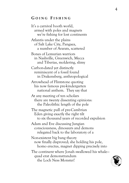## **G OING F ISHING**

It's a carnival booth world, armed with poles and magnets we're fishing for lost continents Atlantis under the plains of Salt Lake City, Pangaea, a number of Ararats, scattered Bones of Lemurian warriors in Nashville, Greenwich, Mecca and Tiberias, moldering, slimy Carbon-dated yet distinctly reminiscent of a fossil found in Drakensberg, anthropological Arrowhead of Flintstone quoting his now famous pre-kindergarten national anthem. They say that At any meeting of ten scholars there are twenty dissenting opinions: the Paleolithic length of the pole The magnetic pull of pre-Cambrian Eden giving exactly the right tilt to six thousand years of recorded expulsion Adam and Eve discussing Jungian consciousness, dinosaurs and demons relegated back to the laboratory of a Non-existent big bang theory now finally disproved; she holding his pole, homo erectus, magnet dipping precisely into The continent where Jonah swallowed his whale quad erat demonstrandum the Loch Ness Monster!

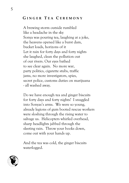# **G INGER T E A C EREMONY**

A brewing storm outside rumbled like a headache in the sky Sonya was pouring tea, laughing at a joke, the heavens opened like a burst dam, bucket loads, horizons of it Let it rain for forty days and forty nights she laughed, clean the pollution out of our rivers. Our eyes bathed to see clear again. No more war, party politics, cigarette stubs, traffic jams, no more investigators, spies, secret police, customs duties on marijuana - all washed away.

Do we have enough tea and ginger biscuits for forty days and forty nights? I snuggled into Sonyas's arms. We were so young, already legions of gum booted rescue workers were sloshing through the rising water to salvage us. Helicopters whirled overhead, sharp headlights jabbed through the sleeting rain. Throw your books down, come out with your hands up.

And the tea was cold, the ginger biscuits waterlogged.

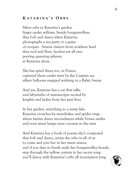# **K ATARINA ' S O RBS**

Silver orbs in Katarina's garden linger under willows, beside bougainvilleas they bob and dance when Katarina photographs a tea party or a game of croquet. Serene visitors from nowhere land they nod and float, faceless yet all eyes peering queering spheres at Katarina alone

She has spied them too, in France captured them under trees by the Caspian sea silken balloons snapped waltzing in a Baltic breeze

And yes, Katarina has a cat that talks and labyrinths of manuscripts recited by knights and ladies from her past lives

In her garden, stretching to a misty lake Katarina crouches by mandrakes and spider rings where faeries dance moondances while Venus smiles and even street lamps wear coronas in the mist

And Katarina has a book of poems she's composed that bob and dance, invite the orbs in all of us to come and join her in her sweet séance and if you dare to brush aside her bougainvillea fronds, step through the willow curtain to her secret song you'll dance with Katarina's orbs all incarnation long

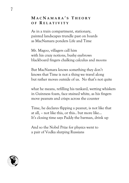# **M A C N AMARA ' S T HEORY O F R ELATIVITY**

As in a train compartment, stationary, painted landscapes trundle past on boards as MacNamara ponders Life and Time

Mr. Magoo, villagers call him with his crazy notions, bushy eyebrows blackboard fingers chalking calculus and moons

But MacNamara knows something they don't knows that Time is not a thing we travel along but rather moves outside of us. No that's not quite

what he means, refilling his tankard, wetting whiskers in Guinness foam, face stained white, as his fingers move peanuts and crisps across the counter

Time, he declares flipping a peanut, is not like that at all, – not like this, or this.. but more like… It's closing time says Paddy the barman, drink up

And so the Nobel Prize for physics went to a pair of Vodka slurping Russians

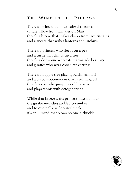# **T H E W IND I N THE P ILLOWS**

There's a wind that blows cobwebs from stars candle tallow from twinkles on Mars there's a breeze that shakes clocks from lace curtains and a sneeze that wakes lanterns and urchins

There's a princess who sleeps on a pea and a turtle that climbs up a tree there's a dormouse who eats marmalade herrings and giraffes who wear chocolate earrings

There's an apple tree playing Rachmaninoff and a teapot-spoon-moon that is running off there's a cow who jumps over librarians and plays tennis with octogenarians

While that breeze wafts princess into slumber the giraffe munches pickled cucumber and to quote Oscar Socrates' uncle it's an ill wind that blows no one a chuckle

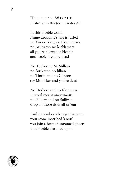# **H EEBIE ' S W ORLD** *I didn't write this poem. Heebie did.*

In this Heebie world Name dropping's flag is furled no Yin no Yang no Connemara no Arlington no McNamara all you're allowed is Heebie and Jeebie if you're dead

No Tucker no McMillian no Buckeroo no Jillian no Tintin and no Clinton say Monicker and you're dead

No Herbert and no Klonimus survival means anonymous no Gilbert and no Sullivan drop all those titles all of 'em

And remember when you've gone your stone inscribed 'anon' you join a host of unnamed ghosts that Heebie dreamed upon

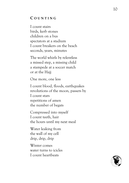## **C OUNTING**

I count stairs birds, kerb stones children on a bus spectators at a stadium I count breakers on the beach seconds, years, minutes

The world whirls by relentless a missed step, a missing child a stampede at a soccer match or at the Hajj

One more, one less

I count blood, floods, earthquakes revolutions of the moon, passers by I count stars repetitions of amen the number of begats

Compressed into myself I count teeth, hair the hours until my next meal

Water leaking from the wall of my cell drip, drip, drip

Winter comes water turns to icicles I count heartbeats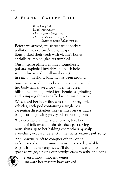# **A P LANET C ALLED L ULU**

*Bang bang Lulu Lulu's going away who we gonna bang bang when Lulu's dead and gone? Sixties campfire ballad version* 

Before we arrived, music was woodpeckers pollution was vulture's dung heaps lions picked their teeth with victim's bones anthills crumbled, glaciers tumbled

Out in space planets collided soundlessly pulsars imploded invisibly and black holes still undiscovered, swallowed everything in reach – in short, banging has been around…

Since we arrived, Lulu's become more organized her body hair shaved for timber, her green hills mined and quarried for chemicals, grinding and bumping she was drilled in intimate places

We sucked her body fluids to run our sexy little vehicles, each pod containing a single pea careening directionless like termites on tar tracks bang, crash, growing graveyards of rusting iron

We desecrated all her secret places, tore her album of folk music to shreds, she's past saving now, skirts up to her balding chemotherapy scalp everything exposed, derelict mine shafts, extinct pub songs

And now we're off to conquer other worlds we've packed our chromium saws into bio degradable bags, with nuclear engines we'll dump our waste into space as we go, singing our bawdy verses to wake and bang



 even a most innocent Venus unaware her masters have arrived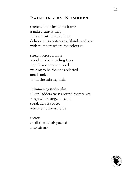# **P AINTING B Y N UMBERS**

stretched out inside its frame a naked canvas map thin almost invisible lines delineate its continents, islands and seas with numbers where the colors go

strewn across a table wooden blocks hiding faces significance downturned waiting to be the ones selected and blanks to fill the missing links

shimmering under glass silken ladders twist around themselves rungs where angels ascend speak across spaces where emptiness holds

secrets of all that Noah packed into his ark

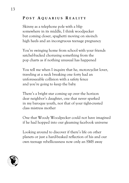# **P OST A QUARIUS R EALITY**

Skinny as a telephone pole with a blip somewhere in its middle, I think woodpecker but coming closer, spaghetti moving on six-inch high heels and an incongruous teenage pregnancy

You're swinging home from school with your friends satchel-backed chorusing something from the pop charts as if nothing unusual has happened

You tell me when I inquire that he, motorcyclist lover, traveling at a neck breaking one forty had an unforeseeable collision with a safety fence and you're going to keep the baby

There's a bright star coming up over the horizon dear neighbor's daughter, one that never sparked in my baroque youth, nor that of your tight-crested class mistress mother

One that Woody Woodpecker could not have imagined if he had hopped into our gleaming facebook universe

Looking around to discover if there's life on other planets or just a hard-beaked reflection of his and our own teenage rebelliousness now only an SMS away

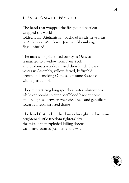# **I T ' S A S MALL W ORLD**

The hand that wrapped the five pound beef cut wrapped the world folded Gaza, Afghanistan, Baghdad inside newsprint of Al Jazeera, Wall Street Journal, Bloomberg, flags unfurled

The man who grills sliced turkey in Geneva is married to a widow from New York and diplomats who've missed their lunch, hoarse voices in Assembly, yellow, fezzed, keffiyeh'd brown and smoking Camels, consume Souvlaki with a plastic fork

They're practicing long speeches, votes, abstentions while car bombs splatter beef blood back at home and in a pause between rhetoric, kneel and genuflect towards a reconstructed dome

The hand that picked the flowers brought to classroom brightened little freedom fighters' day the missile that exploded killing dozens was manufactured just across the way

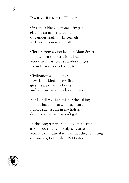# **P ARK B ENCH H ERO**

Give me a black bottomed fry pan give me an unplastered wall dirt underneath my fingernails with a spittoon in the hall

Clothes from a Goodwill on Main Street roll my own smokes with a lick words from last year's Reader's Digest second hand boots for my feet

Civilization's a bummer news is for kindling my fire give me a slut and a bottle and a corner to quench our desire

But I'll tell you just this for the asking I don't have no curse in my heart I don't pack a gun in my holster don't covet what I haven't got

In the long run we're all bodies wasting as our souls march to higher estates worms won't care if it's me that they're tasting or Lincoln, Bob Dylan, Bill Gates

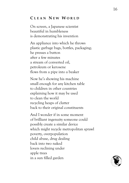# **C LEAN N E W W ORLD**

On screen, a Japanese scientist beautiful in humbleness is demonstrating his invention

An appliance into which he throws plastic garbage bags, bottles, packaging; he presses a button after a few minutes a stream of converted oil, petroleum or kerosene flows from a pipe into a beaker

Now he's showing his machine small enough for any kitchen table to children in other countries explaining how it may be used to clean the world recycling heaps of clutter back to their original constituents

And I wonder if in some moment of brilliant ingenuity someone could possibly create a similar device which might recycle metropolitan sprawl poverty, overpopulation child abuse, drug dealing back into two naked lovers reclining under apple trees in a sun filled garden

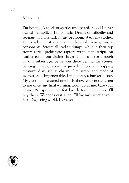#### **M ISSILE**

I'm boiling. A speck of spittle, undigested. Blood I never owned was spilled. I'm ballistic. Dream of infidelity and revenge. Traitors lurk in my bedroom. Wear my clothes. Eat beside me at my table. Indigestible words, mirror consonants. Streets all lead to dumps, while in their top storey aerie, prehistoric raptors write manuscripts on leather torn from victims' backs. But I can see through all this subterfuge. Sense you there behind the scenes, twisting knobs, your lacquered fingernails tapping messages disguised as charms. I'm armor and made of swiftest lead. Impenetrable. I'm nuclear, a bunker buster. My crosshairs centered one inch above your nose. Listen to me once, my final warning. Look up at me, bare your desire. Whisper counterfeit love letters in my eyes. I'll buy them. Weapons cast aside. I'll lay my carpet at your feet. Disgusting world. I love you.

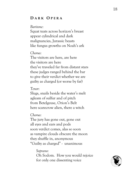# **D ARK O PERA**

#### *Baritone:*

Squat teats across horizon's breast appear cylindrical and dark malignancies, Jurassic beasts like fungus growths on Noah's ark

#### *Chorus:*

The visitors are here, are here the visitors are here they've traveled far from distant stars these judges ranged behind the bar to give their verdict whether we are guilty as charged (or worse by far)

#### *Tenor:*

Slugs, snails beside the water's melt agleam of sulfur and of pitch from Betelgeuse, Orion's Belt here scarecrow alien, there a witch

#### *Chorus:*

The jury has gone out, gone out all eyes and ears and pods soon verdict comes, alas so soon as vampire clouds obscure the moon they shuffle in, anonymous "Guilty as charged" - unanimous

> *Soprano:*  Oh Sodom. How you would rejoice for only one dissenting voice

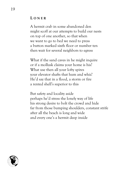#### **L ONER**

A hermit crab in some abandoned den might scoff at our attempts to build our nests on top of one another, so that when we want to go to bed we need to press a button marked sixth floor or number ten then wait for several neighbors to egress

What if the sand caves in he might inquire or if a mollusk claims your home is his? What use then all your lofty spires your elevator shafts that hum and whiz? He'd say that in a flood, a storm or fire a rented shell's superior to this

But safety and locality aside perhaps he'd stress the lonely way of life his strong desire to bolt the crowd and hide far from those bumping shoulders, constant strife after all the beach is long and wide and every one's a hermit deep inside

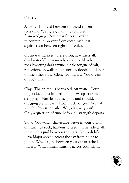# **C LAY**

As water is forced between squeezed fingers so is clay. Wet, grey, clammy, collapsed from wedging. You press fingers together to contain it, prevent from escaping but it squirms out between tight molecules.

Outside wind rises. Here drought withers all, dead waterfall now merely a slash of bleached rock bisecting dark ravine, a pale tongue of salt, reflections on walls tell of storms, floods, mudslides on the other side. Clenched fingers. You dream of dog's teeth.

Clay. The animal is bear-sized, off white. Your fingers lock into its teeth, hold jaws apart from snapping. Muscles strain, spine and shoulders dragging teeth apart. How much longer? Animal stench. Porous or oily? Why clay, why you? Only a question of time before all strength departs.

Slow. You watch clay escape between your digits. Oil turns to rock, hardens to teeth. One side chalk the other liquid between the stars. You solidify. Ursa Major spread across the sky from point to point. Wheel spins between your outstretched fingers. Wild animal hunting across your night.

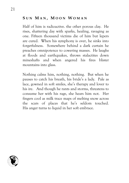## **S U N M A N , M OON W OMAN**

Half of him is radioactive. the other porous clay. He rises, shattering day with sparks, healing, ravaging as one. Fifteen thousand victims die of him but lepers are cured. When his symphony is over, he sinks into forgetfulness. Somewhere behind a dark curtain he preaches omnipotence to cowering masses. He laughs at floods and earthquakes, throws stalactites down mineshafts and when angered his fires blister mountains into glass.

Nothing calms him, nothing, nothing. But when he pauses to catch his breath, his bride's a lady. Pale as lace, gowned in soft smiles, she's therapy and lover to his ire. And though he rants and storms, threatens to consume her with his rage, she hears him not. Her fingers cool as milk trace maps of melting snow across the scars of places that he's seldom touched. His anger turns to liquid in her soft embrace.

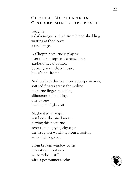## **C HOPIN , N OCTURNE I N C SHARP MINOR O P . POSTH .**

Imagine a darkening city, tired from blood shedding wasting at the sleeves a tired angel

A Chopin nocturne is playing over the rooftops as we remember, explosions, car bombs, burning, incendiary music, but it's not Rome

And perhaps this is a more appropriate way, soft sad fingers across the skyline nocturne fingers touching silhouettes of buildings one by one turning the lights off

Maybe it is an angel, you know the one I mean, playing this nocturne across an emptying cityscape the last ghost watching from a rooftop as the lights go out

From broken window panes in a city without ears yet somehow, still with a posthumous echo

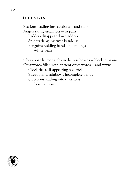## **I LLUSIONS**

Sections leading into sections — and stairs Angels riding escalators — in pairs Ladders disappear down adders Spiders dangling right beside us Penguins holding hands on landings White bears

Chess boards, monarchs in distress boards — blocked pawns Crosswords filled with ancient dross words — and yawns Clock ticks, disappearing box tricks Street plans, rainbow's incomplete bands Questions leading into questions Dense thorns

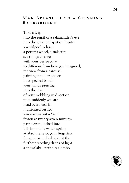## **M A N S PLASHED O N A S PINNING B ACKGROUND**

Take a leap into the pupil of a salamander's eye into the great red spot on Jupiter a whirlpool, a laser a potter's wheel, a stalactite see things change with your perspective so different from how you imagined, the view from a carousel painting familiar objects into spectral bands your hands pressing into the clay of your wobbling mid section then suddenly you are head-over-heels in multi-hued vertigo you scream out – Stop! frozen at twenty seven minutes past eleven, locked into this immobile watch spring at absolute zero, your fingertips flung outstretched against the furthest receding drops of light a snowflake, eternally akimbo

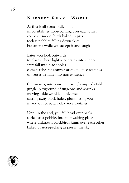# **N URSERY R HYME W ORLD**

At first it all seems ridiculous impossibilities hopscotching over each other cow over moon, birds baked in pies toeless pobbles falling down skies but after a while you accept it and laugh

Later, you look outwards to places where light accelerates into silence stars fall into black holes comets rehearse anniversaries of dance routines universes wrinkle into non-existence

Or inwards, into your increasingly unpredictable jungle, playground of surgeons and shrinks moving aside wrinkled universes cutting away black holes, plummeting you in and out of patch-job dance routines

Until in the end, you fall head over heels, toeless as a pobble, into that waiting place where unknown blackbirds jump over each other baked or nose-pecking as pies in the sky

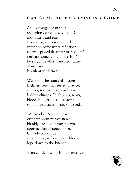# **C A T S LOWING T O V ANISHING P OINT**

At a convergence of stairs our aging cat (an Escher spirit) motionless and gray sits staring at his water bowl intent on some inner reflection a gentle-pawed daughter of Elysium? perhaps some feline narcissism? he sits, a mewless truncated statue alone inside his silent wilderness.

We count the hours his frozen highness rests, has rested, may yet rest on, resurrecting possibly some hidden clump of high grass, fangs, blood, hunger poised as stone to pounce a sparrow pecking seeds.

We pass by. Not far away our bathroom mirror stares blankly back, counting its own approaching disappearance. Outside our statue stirs on cue, softs into an elderly lope down to the kitchen.

Even condemned prisoners must eat.

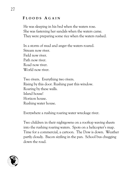# **F LOODS A GAIN**

He was sleeping in his bed when the waters rose. She was fastening her sandals when the waters came. They were preparing some rice when the waters rushed.

In a storm of mud and anger the waters roared. Stream now river. Field now river. Path now river. Road now river. World now river.

Two rivers. Everything two rivers. Rising by this door. Rushing past this window. Roaring by these walls. Island house! Horizon house. Rushing water house.

Everywhere a rushing roaring water wreckage river.

Two children in their nightgowns on a rooftop waving sheets into the rushing roaring waters. Spots on a helicopter's map. Time for a commercial, a cartoon. The Dow is down. Weather partly cloudy. Bacon sizzling in the pan. School bus chugging down the road.

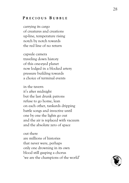## **P RECIOUS B UBBLE**

carrying its cargo of creatures and creations up-line, temperature rising notch by notch towards the red line of no return

capsule camera traveling down history of this one-eyed planet now lodged in a blocked artery pressure building towards a choice of terminal events

in the tavern it's after midnight but the last drunk patrons refuse to go home, lean on each other, tankards dripping battle songs and invective until one by one the lights go out and the air is replaced with vacuum and the absolute zero of space

out there are millions of histories that never were, perhaps only one drowning in its own blood still gasping a chorus 'we are the champions of the world'

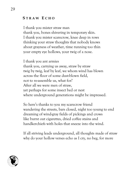# **S TRAW E CHO**

I thank you mister straw man thank you, bones shivering in temporary skin. I thank you mister scarecrow, knee deep in rows thinking your straw thoughts that nobody knows about grayness of weather, time running too thin your empty eye hollows, your twig of a nose.

I thank you ant armies thank you, carrying us away, straw by straw twig by twig, leaf by leaf, we whom wind has blown across the floor of some dust-blown field, not to re-assemble us, what for? After all we were men of straw, yet perhaps for some insect bed or nest where underground generations might be impressed.

So here's thanks to you my scarecrow friend wandering the streets, bars closed, night too young to end dreaming of wind-gray fields of pickings and crows like burnt out cigarettes, dried coffee stains and handkerchiefs with holes that sneeze into the wind.

If all striving leads underground, all thoughts made of straw why do your hollow verses echo as I cry, no beg, for more

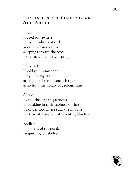# **T HOUGHTS O N F INDING A N O L D S HELL**

Fossil lodged somewhere in frozen whorls of rock ancient ocean creature sleeping through the zoics like a secret in a watch spring

Uncoiled I hold you in my hand lift you to my ear attempt to listen to your whisper, echo from the library of geologic time

Silence like all the largest questions unblinking in their cabinets of glass I wonder too, where stills the impulse poet, artist, symphonist, scientist, librettist

Endless fragments of the puzzle languishing on shelves

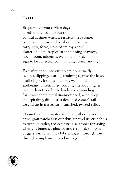## **T OIL**

Bequeathed from earliest days its ethic stitched into our skin painful at times when it restricts the lissome, commanding rise and be about it; hammer carry, sow, forge, clash of smithy's anvil, clatter of loom, rasp of lathe spinning shavings, hoe, broom, udders heavy to be milked, eggs to be collected: commanding, commanding.

Free after dark, into our dream hours we fly as kites, dipping, soaring, straining against the leash until oh joy, it snaps and away we bound exuberant, unrestrained, looping the loop, higher, higher than trees, birds, landscapes, muscling for stratosphere, until unannounced, wind drops and spiraling, dismal as a detached comet's tail we end up in a tree, torn, smashed, twisted relics.

Oh mother! Oh master, teacher, gather us in your arms, graft patches on our skin, unravel us, crunch us to brittle powder, reconstitute us as stones threshing wheat, as branches plucked and stripped, sharp as daggers, fashioned into lobster cages; through pain, through compliance. Bind us to your will.

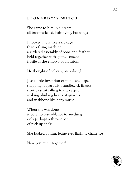# **L EONARDO ' S W ITCH**

She came to him in a dream all broomsticked, hair flying, bat wings

It looked more like a rib cage than a flying machine a girdered assembly of bone and feather held together with spittle cement fragile as the embryo of an axiom

He thought of pelican, pterodactyl

Just a little invention of mine, she lisped snapping it apart with candlewick fingers strut by strut falling to the carpet making plinking heaps of quavers and wishbone-like harp music

When she was done it bore no resemblance to anything only perhaps a thrown set of pick up sticks

She looked at him, feline eyes flashing challenge

Now you put it together!

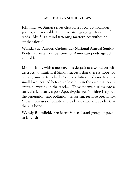# **MORE ADVANCE REVIEWS**

Johnmichael Simon serves chocolate-coconut-macaroon poems, so irresistible I couldn't stop gorging after three full reads. Mr. 3 is a mind-fattening masterpiece without a single calorie!

# **Wanda Sue Parrott, Co-founder National Annual Senior Poets Laureate Competition for American poets age 50 and older.**

Mr. 3 is irony with a message. In despair at a world on selfdestruct, Johnmichael Simon suggests that there is hope for revival, time to turn back: "a cup of bitter medicine to sip..a small love recalled before we lose him in the rain that obliterates all writing in the sand…" These poems hurl us into a surrealistic future, a post-Apocalyptic age. Nothing is spared, the generation gap, pollution, terrorism, teenage pregnancy. Yet wit, phrases of beauty and cadence show the reader that there is hope.

# **Wendy Blumfield, President Voices Israel group of poets in English**